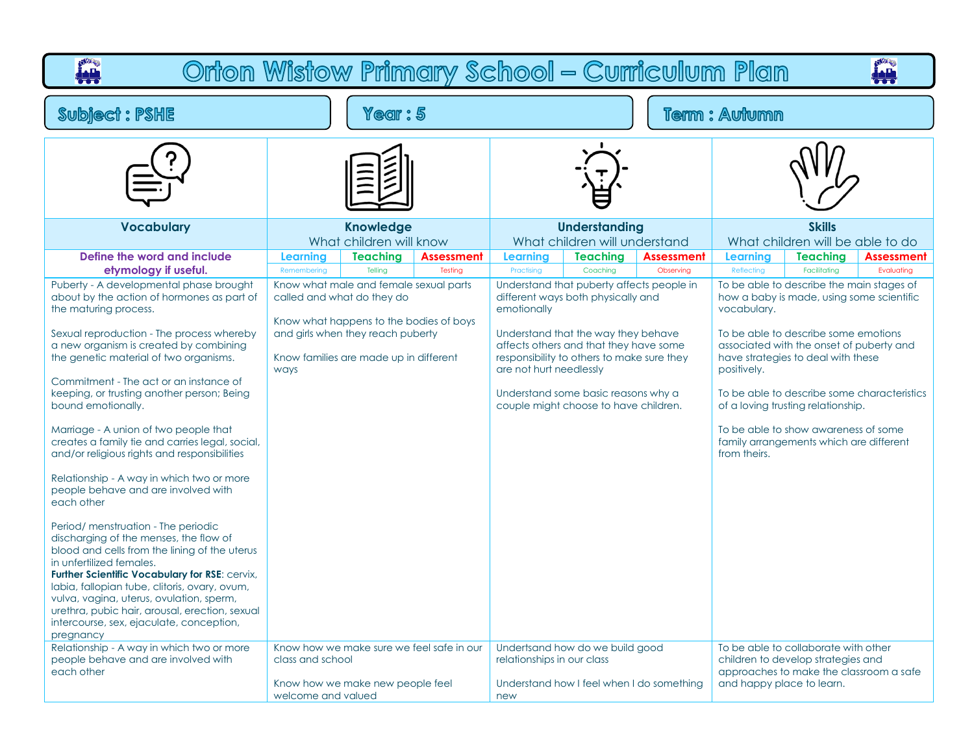| Orton Wistow Primary School - Curriculum Plan<br><b>AH</b><br>بلاءاً                                                                                                                                                                                                                                                                                                                                                                                                                                                                                                                                                                                                                                                                                                                                                                                                                                                                                                                                                                                       |                                        |                                                                                                                                                                                                |                                           |                                                      |                                                                                                                                                                                                                                                                                                            |                                           |                                                          |                                                                                                                                                                                                                                                                                                                                                           |                                                           |  |
|------------------------------------------------------------------------------------------------------------------------------------------------------------------------------------------------------------------------------------------------------------------------------------------------------------------------------------------------------------------------------------------------------------------------------------------------------------------------------------------------------------------------------------------------------------------------------------------------------------------------------------------------------------------------------------------------------------------------------------------------------------------------------------------------------------------------------------------------------------------------------------------------------------------------------------------------------------------------------------------------------------------------------------------------------------|----------------------------------------|------------------------------------------------------------------------------------------------------------------------------------------------------------------------------------------------|-------------------------------------------|------------------------------------------------------|------------------------------------------------------------------------------------------------------------------------------------------------------------------------------------------------------------------------------------------------------------------------------------------------------------|-------------------------------------------|----------------------------------------------------------|-----------------------------------------------------------------------------------------------------------------------------------------------------------------------------------------------------------------------------------------------------------------------------------------------------------------------------------------------------------|-----------------------------------------------------------|--|
| <b>Subject: PSHE</b>                                                                                                                                                                                                                                                                                                                                                                                                                                                                                                                                                                                                                                                                                                                                                                                                                                                                                                                                                                                                                                       | <b>Term: Autumn</b>                    |                                                                                                                                                                                                |                                           |                                                      |                                                                                                                                                                                                                                                                                                            |                                           |                                                          |                                                                                                                                                                                                                                                                                                                                                           |                                                           |  |
|                                                                                                                                                                                                                                                                                                                                                                                                                                                                                                                                                                                                                                                                                                                                                                                                                                                                                                                                                                                                                                                            |                                        |                                                                                                                                                                                                |                                           |                                                      |                                                                                                                                                                                                                                                                                                            |                                           |                                                          |                                                                                                                                                                                                                                                                                                                                                           |                                                           |  |
| <b>Vocabulary</b>                                                                                                                                                                                                                                                                                                                                                                                                                                                                                                                                                                                                                                                                                                                                                                                                                                                                                                                                                                                                                                          |                                        | <b>Knowledge</b><br>What children will know                                                                                                                                                    |                                           |                                                      | <b>Understanding</b><br>What children will understand                                                                                                                                                                                                                                                      |                                           |                                                          | <b>Skills</b><br>What children will be able to do                                                                                                                                                                                                                                                                                                         |                                                           |  |
| Define the word and include                                                                                                                                                                                                                                                                                                                                                                                                                                                                                                                                                                                                                                                                                                                                                                                                                                                                                                                                                                                                                                | <b>Learning</b>                        | <b>Teaching</b><br>Tellina                                                                                                                                                                     | <b>Assessment</b>                         | <b>Learning</b>                                      | <b>Teaching</b>                                                                                                                                                                                                                                                                                            | <b>Assessment</b>                         | <b>Learning</b>                                          | <b>Teaching</b>                                                                                                                                                                                                                                                                                                                                           | <b>Assessment</b>                                         |  |
| etymology if useful.<br>Puberty - A developmental phase brought<br>about by the action of hormones as part of<br>the maturing process.<br>Sexual reproduction - The process whereby<br>a new organism is created by combining<br>the genetic material of two organisms.<br>Commitment - The act or an instance of<br>keeping, or trusting another person; Being<br>bound emotionally.<br>Marriage - A union of two people that<br>creates a family tie and carries legal, social,<br>and/or religious rights and responsibilities<br>Relationship - A way in which two or more<br>people behave and are involved with<br>each other<br>Period/menstruation - The periodic<br>discharging of the menses, the flow of<br>blood and cells from the lining of the uterus<br>in unfertilized females.<br>Further Scientific Vocabulary for RSE: cervix,<br>labia, fallopian tube, clitoris, ovary, ovum,<br>vulva, vagina, uterus, ovulation, sperm,<br>urethra, pubic hair, arousal, erection, sexual<br>intercourse, sex, ejaculate, conception,<br>pregnancy | Remembering<br>ways                    | Know what male and female sexual parts<br>called and what do they do<br>Know what happens to the bodies of boys<br>and girls when they reach puberty<br>Know families are made up in different | Testing                                   | Practising<br>emotionally<br>are not hurt needlessly | Coaching<br>Understand that puberty affects people in<br>different ways both physically and<br>Understand that the way they behave<br>affects others and that they have some<br>responsibility to others to make sure they<br>Understand some basic reasons why a<br>couple might choose to have children. | Observing                                 | Reflecting<br>vocabulary.<br>positively.<br>from theirs. | Facilitating<br>To be able to describe the main stages of<br>how a baby is made, using some scientific<br>To be able to describe some emotions<br>associated with the onset of puberty and<br>have strategies to deal with these<br>of a loving trusting relationship.<br>To be able to show awareness of some<br>family arrangements which are different | Evaluating<br>To be able to describe some characteristics |  |
| Relationship - A way in which two or more<br>people behave and are involved with<br>each other                                                                                                                                                                                                                                                                                                                                                                                                                                                                                                                                                                                                                                                                                                                                                                                                                                                                                                                                                             | class and school<br>welcome and valued | Know how we make new people feel                                                                                                                                                               | Know how we make sure we feel safe in our | relationships in our class<br>new                    | Undertsand how do we build good                                                                                                                                                                                                                                                                            | Understand how I feel when I do something | and happy place to learn.                                | To be able to collaborate with other<br>children to develop strategies and<br>approaches to make the classroom a safe                                                                                                                                                                                                                                     |                                                           |  |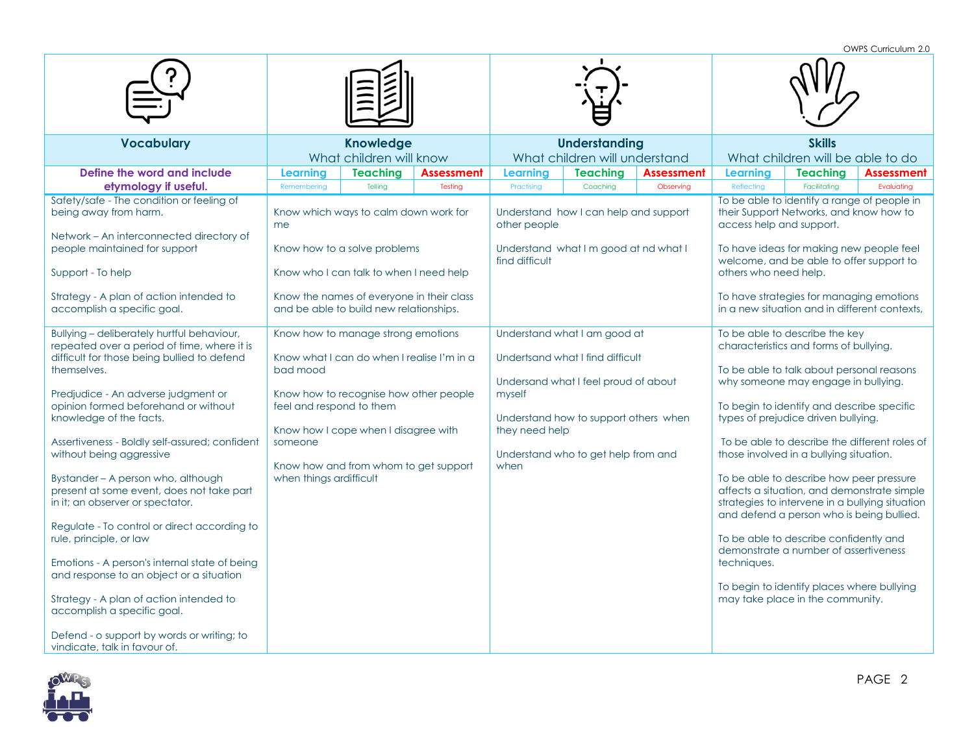OWPS Curriculum 2.0

|                                                                                                                                                                                                                                                                                                                                                                                                                                                                                                                                                                                                                                                                                                                                                                                                         |                                                                            |                                                                                                                                                                                                             |                              |                                  |                                                                                                                                                                                          |                                | OWPS CUITICUIUM Z.U                               |                                                                                                                                                                                                                                                                                                                                                                                                                                                                                                               |                                                                                                                                                                                              |  |
|---------------------------------------------------------------------------------------------------------------------------------------------------------------------------------------------------------------------------------------------------------------------------------------------------------------------------------------------------------------------------------------------------------------------------------------------------------------------------------------------------------------------------------------------------------------------------------------------------------------------------------------------------------------------------------------------------------------------------------------------------------------------------------------------------------|----------------------------------------------------------------------------|-------------------------------------------------------------------------------------------------------------------------------------------------------------------------------------------------------------|------------------------------|----------------------------------|------------------------------------------------------------------------------------------------------------------------------------------------------------------------------------------|--------------------------------|---------------------------------------------------|---------------------------------------------------------------------------------------------------------------------------------------------------------------------------------------------------------------------------------------------------------------------------------------------------------------------------------------------------------------------------------------------------------------------------------------------------------------------------------------------------------------|----------------------------------------------------------------------------------------------------------------------------------------------------------------------------------------------|--|
| <b>Vocabulary</b>                                                                                                                                                                                                                                                                                                                                                                                                                                                                                                                                                                                                                                                                                                                                                                                       |                                                                            | <b>Knowledge</b><br>What children will know                                                                                                                                                                 |                              |                                  | <b>Understanding</b><br>What children will understand                                                                                                                                    |                                | <b>Skills</b><br>What children will be able to do |                                                                                                                                                                                                                                                                                                                                                                                                                                                                                                               |                                                                                                                                                                                              |  |
| Define the word and include<br>etymology if useful.                                                                                                                                                                                                                                                                                                                                                                                                                                                                                                                                                                                                                                                                                                                                                     | Learning<br>Remembering                                                    | <b>Teaching</b><br>Tellina                                                                                                                                                                                  | <b>Assessment</b><br>Testing | Learning<br>Practising           | <b>Teaching</b><br>Coaching                                                                                                                                                              | <b>Assessment</b><br>Observing | Learning<br>Reflecting                            | <b>Teaching</b><br>Facilitating                                                                                                                                                                                                                                                                                                                                                                                                                                                                               | Assessment<br>Evaluating                                                                                                                                                                     |  |
| Safety/safe - The condition or feeling of<br>being away from harm.<br>Network - An interconnected directory of<br>people maintained for support<br>Support - To help<br>Strategy - A plan of action intended to<br>accomplish a specific goal.                                                                                                                                                                                                                                                                                                                                                                                                                                                                                                                                                          | me                                                                         | Know which ways to calm down work for<br>Know how to a solve problems<br>Know who I can talk to when I need help<br>Know the names of everyone in their class<br>and be able to build new relationships.    |                              | other people<br>find difficult   | Understand how I can help and support<br>Understand what I m good at nd what I                                                                                                           |                                | access help and support.<br>others who need help. | their Support Networks, and know how to<br>welcome, and be able to offer support to                                                                                                                                                                                                                                                                                                                                                                                                                           | To be able to identify a range of people in<br>To have ideas for making new people feel<br>To have strategies for managing emotions<br>in a new situation and in different contexts,         |  |
| Bullying - deliberately hurtful behaviour,<br>repeated over a period of time, where it is<br>difficult for those being bullied to defend<br>themselves.<br>Predjudice - An adverse judgment or<br>opinion formed beforehand or without<br>knowledge of the facts.<br>Assertiveness - Boldly self-assured; confident<br>without being aggressive<br>Bystander - A person who, although<br>present at some event, does not take part<br>in it; an observer or spectator.<br>Regulate - To control or direct according to<br>rule, principle, or law<br>Emotions - A person's internal state of being<br>and response to an object or a situation<br>Strategy - A plan of action intended to<br>accomplish a specific goal.<br>Defend - o support by words or writing; to<br>vindicate, talk in favour of. | bad mood<br>feel and respond to them<br>someone<br>when things ardifficult | Know how to manage strong emotions<br>Know what I can do when I realise I'm in a<br>Know how to recognise how other people<br>Know how I cope when I disagree with<br>Know how and from whom to get support |                              | myself<br>they need help<br>when | Understand what I am good at<br>Undertsand what I find difficult<br>Undersand what I feel proud of about<br>Understand how to support others when<br>Understand who to get help from and |                                | techniques.                                       | To be able to describe the key<br>characteristics and forms of bullying.<br>To be able to talk about personal reasons<br>why someone may engage in bullying.<br>To begin to identify and describe specific<br>types of prejudice driven bullying.<br>those involved in a bullying situation.<br>To be able to describe how peer pressure<br>To be able to describe confidently and<br>demonstrate a number of assertiveness<br>To begin to identify places where bullying<br>may take place in the community. | To be able to describe the different roles of<br>affects a situation, and demonstrate simple<br>strategies to intervene in a bullying situation<br>and defend a person who is being bullied. |  |



PAGE 2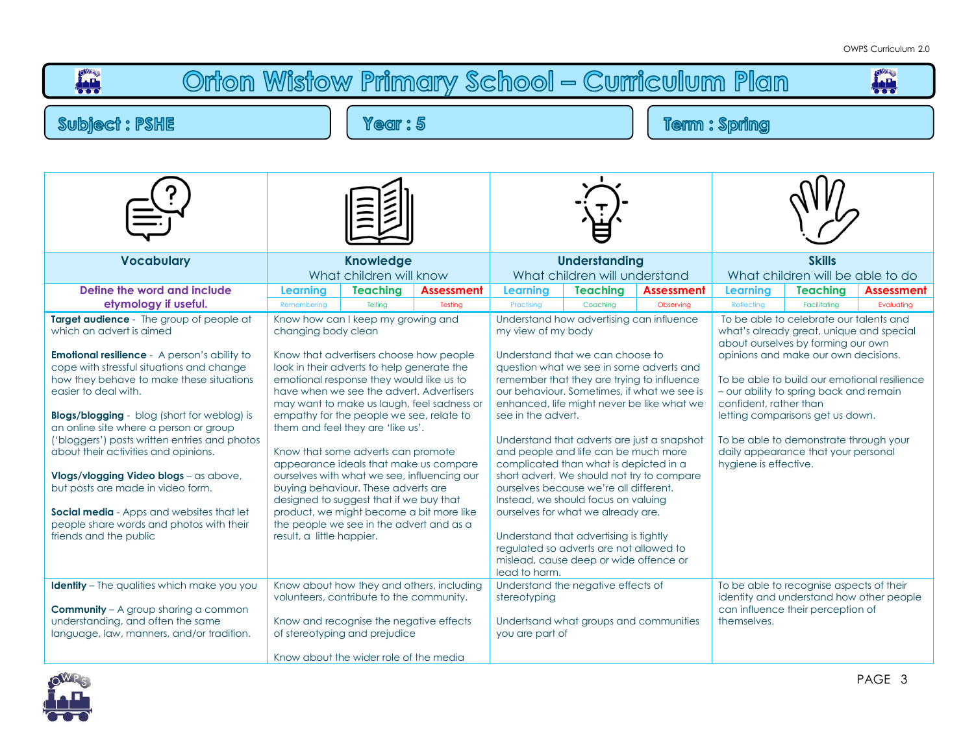## **FALL** Orton Wistow Primary School - Curriculum Plan p<sup>om</sup>e **Subiect: PSHE** Year: 5 **Term: Spring Understanding Skills Vocabulary Knowledge** What children will know What children will understand What children will be able to do **Define the word and include Learning Teaching Assessment Learning Teaching Assessment Learning Teaching Assessment etymology if useful.** Remembering | Telling | Testing | Practising | Coaching | Observing | Reflecting | Facilitating | Evaluating **Target audience** - The group of people at Know how can I keep my growing and Understand how advertising can influence To be able to celebrate our talents and which an advert is aimed changing body clean my view of my body what's already areat, unique and special about ourselves by forming our own **Emotional resilience** - A person's ability to Know that advertisers choose how people Understand that we can choose to opinions and make our own decisions. cope with stressful situations and change look in their adverts to help generate the question what we see in some adverts and how they behave to make these situations To be able to build our emotional resilience emotional response they would like us to remember that they are trying to influence easier to deal with. have when we see the advert. Advertisers our behaviour. Sometimes, if what we see is – our ability to spring back and remain may want to make us laugh, feel sadness or enhanced, life might never be like what we confident, rather than see in the advert. **Blogs/blogging** - blog (short for weblog) is empathy for the people we see, relate to letting comparisons get us down. an online site where a person or group them and feel they are 'like us'. ('bloggers') posts written entries and photos Understand that adverts are just a snapshot To be able to demonstrate through your about their activities and opinions. Know that some adverts can promote and people and life can be much more daily appearance that your personal appearance ideals that make us compare complicated than what is depicted in a hygiene is effective. short advert. We should not try to compare **Vlogs/vlogging Video blogs** – as above, ourselves with what we see, influencing our but posts are made in video form. buying behaviour. These adverts are ourselves because we're all different. designed to suggest that if we buy that Instead, we should focus on valuing **Social media** - Apps and websites that let product, we might become a bit more like ourselves for what we already are. people share words and photos with their the people we see in the advert and as a friends and the public result, a little happier. Understand that advertising is tightly regulated so adverts are not allowed to mislead, cause deep or wide offence or lead to harm. **Identity** – The qualities which make you you Know about how they and others, including Understand the negative effects of To be able to recognise aspects of their volunteers, contribute to the community. stereotyping identity and understand how other people **Community** – A group sharing a common can influence their perception of understanding, and often the same Know and recognise the negative effects Undertsand what groups and communities themselves. language, law, manners, and/or tradition. of stereotyping and prejudice you are part of Know about the wider role of the media

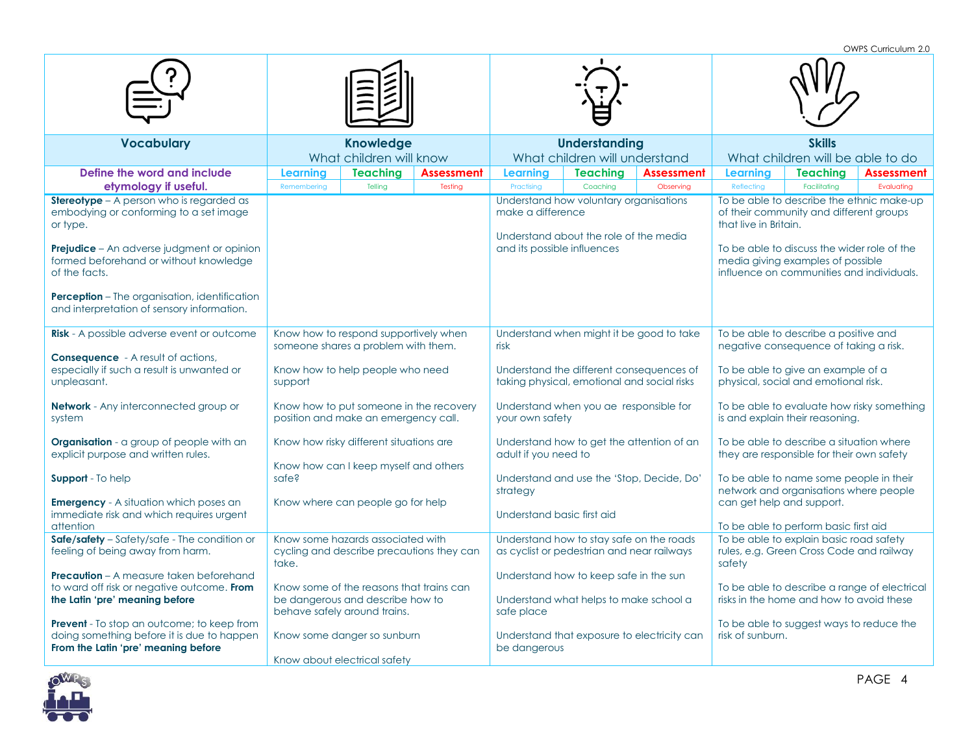OWPS Curriculum 2.0

|                                                                                                                                        |                                                                                 |                              |                               |                                                                                         |                                             | OWES CUITICUIUITI Z.U                                                                                                         |                                          |                                              |  |
|----------------------------------------------------------------------------------------------------------------------------------------|---------------------------------------------------------------------------------|------------------------------|-------------------------------|-----------------------------------------------------------------------------------------|---------------------------------------------|-------------------------------------------------------------------------------------------------------------------------------|------------------------------------------|----------------------------------------------|--|
|                                                                                                                                        |                                                                                 |                              |                               |                                                                                         |                                             |                                                                                                                               |                                          |                                              |  |
| <b>Vocabulary</b>                                                                                                                      | <b>Knowledge</b><br>What children will know                                     |                              |                               | <b>Understanding</b><br>What children will understand                                   |                                             | <b>Skills</b><br>What children will be able to do                                                                             |                                          |                                              |  |
| Define the word and include<br>etymology if useful.                                                                                    | <b>Teaching</b><br>Learning<br>Remembering<br>Telling                           | <b>Assessment</b><br>Testing | <b>Learning</b><br>Practising | <b>Teaching</b><br>Coaching                                                             | <b>Assessment</b><br>Observing              | <b>Learning</b><br>Reflecting                                                                                                 | <b>Teaching</b><br>Facilitating          | Assessment<br>Evaluating                     |  |
| <b>Stereotype</b> - A person who is regarded as<br>embodying or conforming to a set image<br>or type.                                  |                                                                                 |                              | make a difference             | Understand how voluntary organisations<br>Understand about the role of the media        |                                             | that live in Britain.                                                                                                         | of their community and different groups  | To be able to describe the ethnic make-up    |  |
| <b>Prejudice</b> – An adverse judgment or opinion<br>formed beforehand or without knowledge<br>of the facts.                           |                                                                                 |                              | and its possible influences   |                                                                                         |                                             | To be able to discuss the wider role of the<br>media giving examples of possible<br>influence on communities and individuals. |                                          |                                              |  |
| Perception - The organisation, identification<br>and interpretation of sensory information.                                            |                                                                                 |                              |                               |                                                                                         |                                             |                                                                                                                               |                                          |                                              |  |
| Risk - A possible adverse event or outcome                                                                                             | Know how to respond supportively when<br>someone shares a problem with them.    |                              | risk                          | Understand when might it be good to take                                                |                                             | To be able to describe a positive and<br>negative consequence of taking a risk.                                               |                                          |                                              |  |
| <b>Consequence</b> - A result of actions,<br>especially if such a result is unwanted or<br>unpleasant.                                 | Know how to help people who need<br>support                                     |                              |                               | Understand the different consequences of<br>taking physical, emotional and social risks |                                             | To be able to give an example of a<br>physical, social and emotional risk.                                                    |                                          |                                              |  |
| <b>Network</b> - Any interconnected group or<br>system                                                                                 | Know how to put someone in the recovery<br>position and make an emergency call. |                              | your own safety               | Understand when you ae responsible for                                                  |                                             | To be able to evaluate how risky something<br>is and explain their reasoning.                                                 |                                          |                                              |  |
| <b>Organisation</b> - a group of people with an<br>explicit purpose and written rules.                                                 | Know how risky different situations are                                         |                              | adult if you need to          | Understand how to get the attention of an                                               |                                             | To be able to describe a situation where<br>they are responsible for their own safety                                         |                                          |                                              |  |
| Support - To help                                                                                                                      | Know how can I keep myself and others<br>safe?                                  |                              | strategy                      | Understand and use the 'Stop, Decide, Do'                                               |                                             | To be able to name some people in their<br>network and organisations where people                                             |                                          |                                              |  |
| <b>Emergency</b> - A situation which poses an<br>immediate risk and which requires urgent<br>attention                                 | Know where can people go for help                                               |                              | Understand basic first aid    |                                                                                         |                                             | can get help and support.<br>To be able to perform basic first aid                                                            |                                          |                                              |  |
| Safe/safety - Safety/safe - The condition or                                                                                           | Know some hazards associated with                                               |                              |                               | Understand how to stay safe on the roads                                                |                                             |                                                                                                                               |                                          |                                              |  |
| feeling of being away from harm.                                                                                                       | cycling and describe precautions they can<br>take.                              |                              |                               | as cyclist or pedestrian and near railways                                              |                                             | To be able to explain basic road safety<br>rules, e.g. Green Cross Code and railway<br>safety                                 |                                          |                                              |  |
| <b>Precaution</b> – A measure taken beforehand                                                                                         |                                                                                 |                              |                               | Understand how to keep safe in the sun                                                  |                                             |                                                                                                                               |                                          |                                              |  |
| to ward off risk or negative outcome. From<br>the Latin 'pre' meaning before                                                           | Know some of the reasons that trains can<br>be dangerous and describe how to    |                              |                               | Understand what helps to make school a                                                  |                                             |                                                                                                                               | risks in the home and how to avoid these | To be able to describe a range of electrical |  |
|                                                                                                                                        | behave safely around trains.                                                    |                              | safe place                    |                                                                                         |                                             |                                                                                                                               |                                          |                                              |  |
| <b>Prevent</b> - To stop an outcome; to keep from<br>doing something before it is due to happen<br>From the Latin 'pre' meaning before | Know some danger so sunburn<br>Know about electrical safety                     |                              | be dangerous                  |                                                                                         | Understand that exposure to electricity can | risk of sunburn.                                                                                                              | To be able to suggest ways to reduce the |                                              |  |

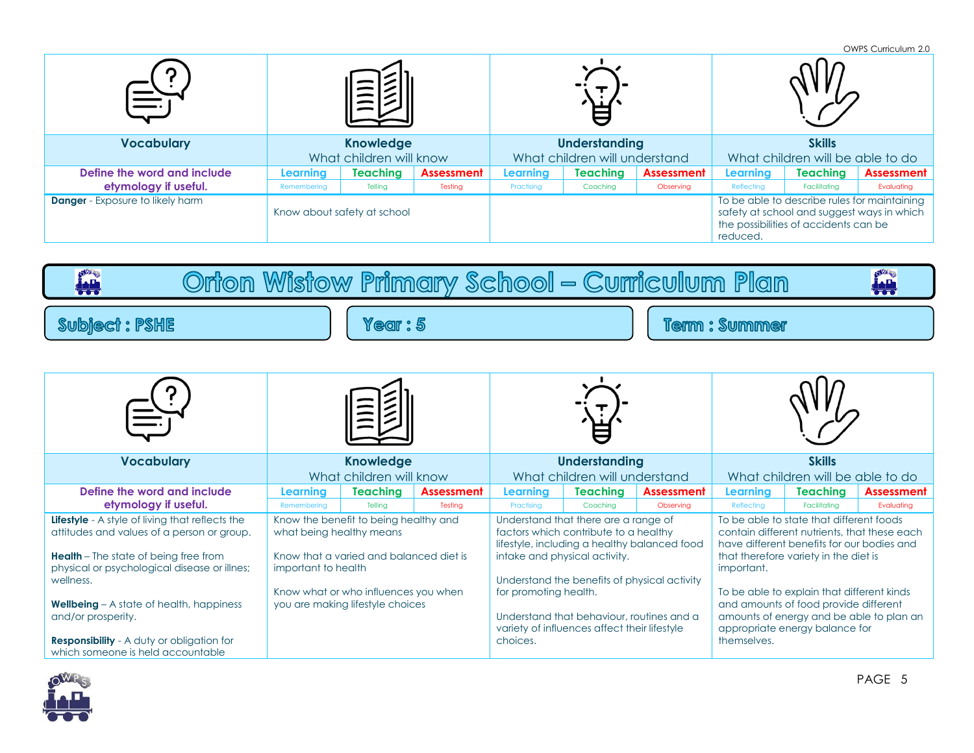|                                         |                         |                             |                   |                               |                 |                   |                                  |                                                                                                                                     | OWPS Curriculum 2.0 |
|-----------------------------------------|-------------------------|-----------------------------|-------------------|-------------------------------|-----------------|-------------------|----------------------------------|-------------------------------------------------------------------------------------------------------------------------------------|---------------------|
|                                         |                         |                             |                   |                               |                 |                   |                                  |                                                                                                                                     |                     |
| <b>Vocabulary</b>                       | <b>Knowledge</b>        |                             |                   | <b>Understanding</b>          |                 |                   | <b>Skills</b>                    |                                                                                                                                     |                     |
|                                         | What children will know |                             |                   | What children will understand |                 |                   | What children will be able to do |                                                                                                                                     |                     |
| Define the word and include             | Learning                | <b>Teaching</b>             | <b>Assessment</b> | Learning                      | <b>Teaching</b> | <b>Assessment</b> | Learning                         | <b>Teaching</b>                                                                                                                     | <b>Assessment</b>   |
| etymology if useful.                    | Remembering             | Telling                     | Testing           | Practising                    | Coaching        | Observing         | Reflecting                       | <b>Facilitating</b>                                                                                                                 | Evaluating          |
| <b>Danger</b> - Exposure to likely harm |                         | Know about safety at school |                   |                               |                 |                   | reduced.                         | To be able to describe rules for maintaining<br>safety at school and suggest ways in which<br>the possibilities of accidents can be |                     |

Orton Wistow Primary School - Curriculum Plan

| <b>Subject: PSHE</b>                                                                                                                                                                                                                                                                                                                                                                  |                                                 | Year: 5                                                                                                                                                      |                              |                                   | <b>Term: Summer</b>                                                                                                                                                                                                                                                                                         |                                |                           |                                                                                                                                                                                                                                                                                                                                                      |                          |  |
|---------------------------------------------------------------------------------------------------------------------------------------------------------------------------------------------------------------------------------------------------------------------------------------------------------------------------------------------------------------------------------------|-------------------------------------------------|--------------------------------------------------------------------------------------------------------------------------------------------------------------|------------------------------|-----------------------------------|-------------------------------------------------------------------------------------------------------------------------------------------------------------------------------------------------------------------------------------------------------------------------------------------------------------|--------------------------------|---------------------------|------------------------------------------------------------------------------------------------------------------------------------------------------------------------------------------------------------------------------------------------------------------------------------------------------------------------------------------------------|--------------------------|--|
|                                                                                                                                                                                                                                                                                                                                                                                       |                                                 |                                                                                                                                                              |                              |                                   |                                                                                                                                                                                                                                                                                                             |                                |                           |                                                                                                                                                                                                                                                                                                                                                      |                          |  |
|                                                                                                                                                                                                                                                                                                                                                                                       |                                                 |                                                                                                                                                              |                              |                                   |                                                                                                                                                                                                                                                                                                             |                                |                           |                                                                                                                                                                                                                                                                                                                                                      |                          |  |
| <b>Vocabulary</b>                                                                                                                                                                                                                                                                                                                                                                     |                                                 | <b>Knowledge</b><br>What children will know                                                                                                                  |                              |                                   | <b>Understanding</b><br>What children will understand                                                                                                                                                                                                                                                       |                                |                           | <b>Skills</b><br>What children will be able to do                                                                                                                                                                                                                                                                                                    |                          |  |
| Define the word and include<br>etymology if useful.                                                                                                                                                                                                                                                                                                                                   | Learning<br>Remembering                         | <b>Teaching</b><br>Tellina                                                                                                                                   | <b>Assessment</b><br>Testina | Learning<br>Practising            | <b>Teaching</b><br>Coachina                                                                                                                                                                                                                                                                                 | <b>Assessment</b><br>Observina | Learnina<br>Reflecting    | <b>Teaching</b><br>Facilitatina                                                                                                                                                                                                                                                                                                                      | Assessment<br>Evaluatina |  |
| <b>Lifestyle</b> - A style of living that reflects the<br>attitudes and values of a person or group.<br><b>Health</b> - The state of being free from<br>physical or psychological disease or illnes;<br>wellness.<br><b>Wellbeing</b> $-$ A state of health, happiness<br>and/or prosperity.<br><b>Responsibility</b> - A duty or obligation for<br>which someone is held accountable | what being healthy means<br>important to health | Know the benefit to being healthy and<br>Know that a varied and balanced diet is<br>Know what or who influences you when<br>you are making lifestyle choices |                              | for promoting health.<br>choices. | Understand that there are a range of<br>factors which contribute to a healthy<br>lifestyle, including a healthy balanced food<br>intake and physical activity.<br>Understand the benefits of physical activity<br>Understand that behaviour, routines and a<br>variety of influences affect their lifestyle |                                | important.<br>themselves. | To be able to state that different foods<br>contain different nutrients, that these each<br>have different benefits for our bodies and<br>that therefore variety in the diet is<br>To be able to explain that different kinds<br>and amounts of food provide different<br>amounts of energy and be able to plan an<br>appropriate energy balance for |                          |  |



**ALL** 

**India**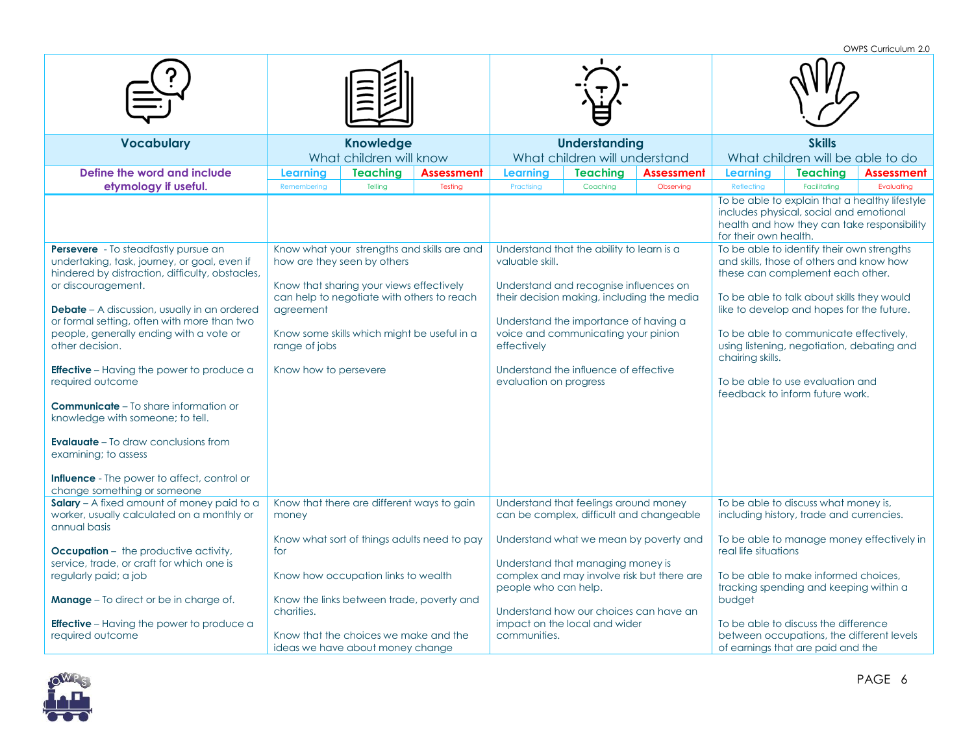OWPS Curriculum 2.0

| <b>Knowledge</b><br><b>Understanding</b><br><b>Skills</b><br><b>Vocabulary</b>                                                                                                                                                                                  |
|-----------------------------------------------------------------------------------------------------------------------------------------------------------------------------------------------------------------------------------------------------------------|
|                                                                                                                                                                                                                                                                 |
| What children will know<br>What children will understand<br>What children will be able to do                                                                                                                                                                    |
| Define the word and include<br><b>Teaching</b><br><b>Teaching</b><br><b>Assessment</b><br><b>Assessment</b><br>Learning<br><b>Teaching</b><br>Learning<br>Learning<br><b>Assessment</b>                                                                         |
| etymology if useful.<br>Reflecting<br>Facilitating<br>Evaluating<br>Telling<br>Testing<br>Practising<br>Coaching<br>Observing<br>Remembering                                                                                                                    |
|                                                                                                                                                                                                                                                                 |
| To be able to explain that a healthy lifestyle<br>includes physical, social and emotional<br>health and how they can take responsibility<br>for their own health.                                                                                               |
| To be able to identify their own strengths<br><b>Persevere</b> - To steadfastly pursue an<br>Know what your strengths and skills are and<br>Understand that the ability to learn is a                                                                           |
| how are they seen by others<br>valuable skill.<br>and skills, those of others and know how<br>undertaking, task, journey, or goal, even if                                                                                                                      |
| hindered by distraction, difficulty, obstacles,<br>these can complement each other.                                                                                                                                                                             |
| or discouragement.<br>Know that sharing your views effectively<br>Understand and recognise influences on                                                                                                                                                        |
| can help to negotiate with others to reach<br>their decision making, including the media<br>To be able to talk about skills they would                                                                                                                          |
| <b>Debate</b> - A discussion, usually in an ordered<br>like to develop and hopes for the future.<br>agreement                                                                                                                                                   |
| or formal setting, often with more than two<br>Understand the importance of having a<br>people, generally ending with a vote or<br>Know some skills which might be useful in a<br>voice and communicating your pinion<br>To be able to communicate effectively, |
| other decision.<br>range of jobs<br>effectively<br>using listening, negotiation, debating and                                                                                                                                                                   |
| chairing skills.                                                                                                                                                                                                                                                |
| Understand the influence of effective<br><b>Effective</b> – Having the power to produce a<br>Know how to persevere                                                                                                                                              |
| To be able to use evaluation and<br>required outcome<br>evaluation on progress                                                                                                                                                                                  |
| feedback to inform future work.                                                                                                                                                                                                                                 |
| <b>Communicate</b> – To share information or<br>knowledge with someone; to tell.                                                                                                                                                                                |
| <b>Evalauate</b> - To draw conclusions from                                                                                                                                                                                                                     |
| examining; to assess                                                                                                                                                                                                                                            |
|                                                                                                                                                                                                                                                                 |
| <b>Influence</b> - The power to affect, control or                                                                                                                                                                                                              |
| change something or someone                                                                                                                                                                                                                                     |
| Salary - A fixed amount of money paid to a<br>Understand that feelings around money<br>Know that there are different ways to gain<br>To be able to discuss what money is,                                                                                       |
| worker, usually calculated on a monthly or<br>can be complex, difficult and changeable<br>including history, trade and currencies.<br>money                                                                                                                     |
| annual basis                                                                                                                                                                                                                                                    |
| Know what sort of things adults need to pay<br>Understand what we mean by poverty and<br>To be able to manage money effectively in                                                                                                                              |
| real life situations<br><b>Occupation</b> – the productive activity,<br>for                                                                                                                                                                                     |
| service, trade, or craft for which one is<br>Understand that managing money is                                                                                                                                                                                  |
| regularly paid; a job<br>Know how occupation links to wealth<br>complex and may involve risk but there are<br>To be able to make informed choices.                                                                                                              |
| people who can help.<br>tracking spending and keeping within a<br><b>Manage</b> - To direct or be in charge of.<br>Know the links between trade, poverty and<br>budget                                                                                          |
| charities.<br>Understand how our choices can have an                                                                                                                                                                                                            |
| impact on the local and wider<br><b>Effective</b> – Having the power to produce a<br>To be able to discuss the difference                                                                                                                                       |
| Know that the choices we make and the<br>between occupations, the different levels<br>required outcome<br>communities.                                                                                                                                          |
| of earnings that are paid and the<br>ideas we have about money change                                                                                                                                                                                           |